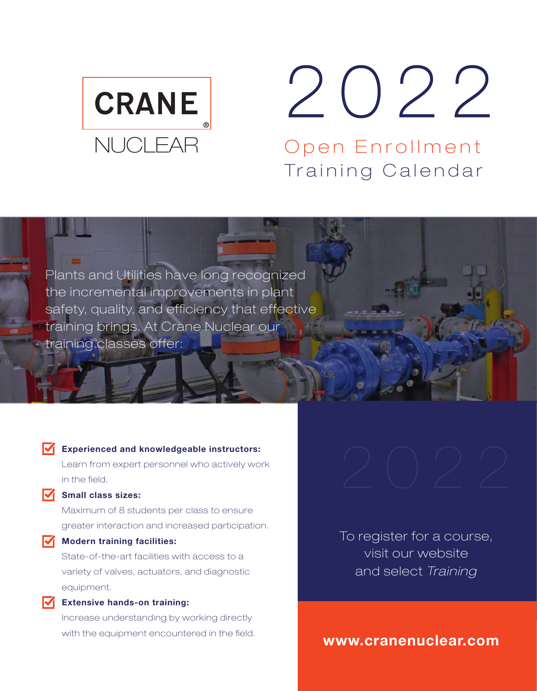

# 2022

Open Enrollment Training Calendar

Plants and Utilities have long recognized the incremental improvements in plant safety, quality, and efficiency that effective training brings. At Crane Nuclear our training classes offer:

#### **K** Experienced and knowledgeable instructors:

Learn from expert personnel who actively work in the field.

#### $\sqrt{\phantom{a}}$  Small class sizes:

Maximum of 8 students per class to ensure greater interaction and increased participation.

#### $\sqrt{\phantom{a}}$  Modern training facilities:

State-of-the-art facilities with access to a variety of valves, actuators, and diagnostic equipment.

#### **Extensive hands-on training:**

Increase understanding by working directly with the equipment encountered in the field.

To register for a course, visit our website and select *Training* 

www.cranenuclear.com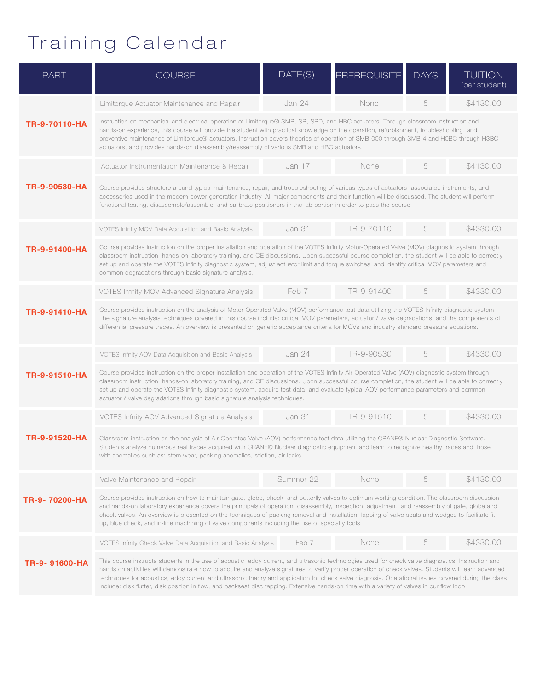## Training Calendar

| <b>PART</b>    | <b>COURSE</b>                                                                                                                                                                                                                                                                                                                                                                                                                                                                                                                                                                                                   | DATE(S)       | <b>PREREQUISITE</b> | <b>DAYS</b> | <b>TUITION</b><br>(per student) |  |  |  |
|----------------|-----------------------------------------------------------------------------------------------------------------------------------------------------------------------------------------------------------------------------------------------------------------------------------------------------------------------------------------------------------------------------------------------------------------------------------------------------------------------------------------------------------------------------------------------------------------------------------------------------------------|---------------|---------------------|-------------|---------------------------------|--|--|--|
| TR-9-70110-HA  | Limitorque Actuator Maintenance and Repair                                                                                                                                                                                                                                                                                                                                                                                                                                                                                                                                                                      | Jan 24        | None                | 5           | \$4130,00                       |  |  |  |
|                | Instruction on mechanical and electrical operation of Limitorque® SMB, SB, SBD, and HBC actuators. Through classroom instruction and<br>hands-on experience, this course will provide the student with practical knowledge on the operation, refurbishment, troubleshooting, and<br>preventive maintenance of Limitorque® actuators. Instruction covers theories of operation of SMB-000 through SMB-4 and H0BC through H3BC<br>actuators, and provides hands-on disassembly/reassembly of various SMB and HBC actuators.                                                                                       |               |                     |             |                                 |  |  |  |
| TR-9-90530-HA  | Actuator Instrumentation Maintenance & Repair                                                                                                                                                                                                                                                                                                                                                                                                                                                                                                                                                                   | Jan 17        | None                | 5           | \$4130,00                       |  |  |  |
|                | Course provides structure around typical maintenance, repair, and troubleshooting of various types of actuators, associated instruments, and<br>accessories used in the modern power generation industry. All major components and their function will be discussed. The student will perform<br>functional testing, disassemble/assemble, and calibrate positioners in the lab portion in order to pass the course.                                                                                                                                                                                            |               |                     |             |                                 |  |  |  |
|                | VOTES Infnity MOV Data Acquisition and Basic Analysis                                                                                                                                                                                                                                                                                                                                                                                                                                                                                                                                                           | Jan 31        | TR-9-70110          | 5           | \$4330,00                       |  |  |  |
| TR-9-91400-HA  | Course provides instruction on the proper installation and operation of the VOTES Infinity Motor-Operated Valve (MOV) diagnostic system through<br>classroom instruction, hands-on laboratory training, and OE discussions. Upon successful course completion, the student will be able to correctly<br>set up and operate the VOTES Infinity diagnostic system, adjust actuator limit and torque switches, and identify critical MOV parameters and<br>common degradations through basic signature analysis.                                                                                                   |               |                     |             |                                 |  |  |  |
| TR-9-91410-HA  | VOTES Infnity MOV Advanced Signature Analysis                                                                                                                                                                                                                                                                                                                                                                                                                                                                                                                                                                   | Feb 7         | TR-9-91400          | 5           | \$4330.00                       |  |  |  |
|                | Course provides instruction on the analysis of Motor-Operated Valve (MOV) performance test data utilizing the VOTES Infinity diagnostic system.<br>The signature analysis techniques covered in this course include: critical MOV parameters, actuator / valve degradations, and the components of<br>differential pressure traces. An overview is presented on generic acceptance criteria for MOVs and industry standard pressure equations.                                                                                                                                                                  |               |                     |             |                                 |  |  |  |
| TR-9-91510-HA  | VOTES Infnity AOV Data Acquisition and Basic Analysis                                                                                                                                                                                                                                                                                                                                                                                                                                                                                                                                                           | <b>Jan 24</b> | TR-9-90530          | 5           | \$4330.00                       |  |  |  |
|                | Course provides instruction on the proper installation and operation of the VOTES Infinity Air-Operated Valve (AOV) diagnostic system through<br>classroom instruction, hands-on laboratory training, and OE discussions. Upon successful course completion, the student will be able to correctly<br>set up and operate the VOTES Infinity diagnostic system, acquire test data, and evaluate typical AOV performance parameters and common<br>actuator / valve degradations through basic signature analysis techniques.                                                                                      |               |                     |             |                                 |  |  |  |
| TR-9-91520-HA  | VOTES Infnity AOV Advanced Signature Analysis                                                                                                                                                                                                                                                                                                                                                                                                                                                                                                                                                                   | <b>Jan 31</b> | TR-9-91510          | 5           | \$4330,00                       |  |  |  |
|                | Classroom instruction on the analysis of Air-Operated Valve (AOV) performance test data utilizing the CRANE® Nuclear Diagnostic Software.<br>Students analyze numerous real traces acquired with CRANE® Nuclear diagnostic equipment and learn to recognize healthy traces and those<br>with anomalies such as: stem wear, packing anomalies, stiction, air leaks.                                                                                                                                                                                                                                              |               |                     |             |                                 |  |  |  |
| TR-9- 70200-HA | Valve Maintenance and Repair                                                                                                                                                                                                                                                                                                                                                                                                                                                                                                                                                                                    | Summer 22     | None                |             | \$4130.00                       |  |  |  |
|                | Course provides instruction on how to maintain gate, globe, check, and butterfly valves to optimum working condition. The classroom discussion<br>and hands-on laboratory experience covers the principals of operation, disassembly, inspection, adjustment, and reassembly of gate, globe and<br>check valves. An overview is presented on the techniques of packing removal and installation, lapping of valve seats and wedges to facilitate fit<br>up, blue check, and in-line machining of valve components including the use of specialty tools.                                                         |               |                     |             |                                 |  |  |  |
| TR-9- 91600-HA | VOTES Infnity Check Valve Data Acquisition and Basic Analysis                                                                                                                                                                                                                                                                                                                                                                                                                                                                                                                                                   | Feb 7         | None                | 5           | \$4330.00                       |  |  |  |
|                | This course instructs students in the use of acoustic, eddy current, and ultrasonic technologies used for check valve diagnostics. Instruction and<br>hands on activities will demonstrate how to acquire and analyze signatures to verify proper operation of check valves. Students will learn advanced<br>techniques for acoustics, eddy current and ultrasonic theory and application for check valve diagnosis. Operational issues covered during the class<br>include: disk flutter, disk position in flow, and backseat disc tapping. Extensive hands-on time with a variety of valves in our flow loop. |               |                     |             |                                 |  |  |  |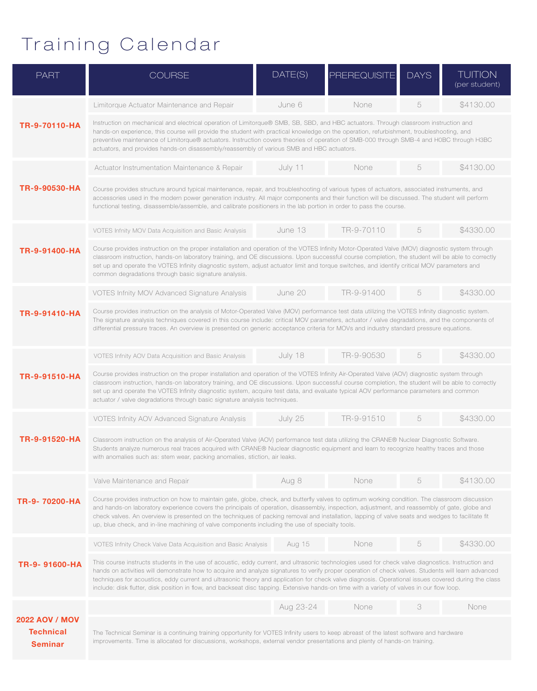## Training Calendar

| <b>PART</b>                                                 | <b>COURSE</b>                                                                                                                                                                                                                                                                                                                                                                                                                                                                                                                                                                                                   | DATE(S)   | <b>PREREQUISITE</b> | <b>DAYS</b> | <b>TUITION</b><br>(per student) |  |
|-------------------------------------------------------------|-----------------------------------------------------------------------------------------------------------------------------------------------------------------------------------------------------------------------------------------------------------------------------------------------------------------------------------------------------------------------------------------------------------------------------------------------------------------------------------------------------------------------------------------------------------------------------------------------------------------|-----------|---------------------|-------------|---------------------------------|--|
| TR-9-70110-HA                                               | Limitorque Actuator Maintenance and Repair                                                                                                                                                                                                                                                                                                                                                                                                                                                                                                                                                                      | June 6    | None                | 5           | \$4130.00                       |  |
|                                                             | Instruction on mechanical and electrical operation of Limitorque® SMB, SB, SBD, and HBC actuators. Through classroom instruction and<br>hands-on experience, this course will provide the student with practical knowledge on the operation, refurbishment, troubleshooting, and<br>preventive maintenance of Limitorque® actuators. Instruction covers theories of operation of SMB-000 through SMB-4 and HOBC through H3BC<br>actuators, and provides hands-on disassembly/reassembly of various SMB and HBC actuators.                                                                                       |           |                     |             |                                 |  |
| TR-9-90530-HA                                               | Actuator Instrumentation Maintenance & Repair                                                                                                                                                                                                                                                                                                                                                                                                                                                                                                                                                                   | July 11   | None                | 5           | \$4130.00                       |  |
|                                                             | Course provides structure around typical maintenance, repair, and troubleshooting of various types of actuators, associated instruments, and<br>accessories used in the modern power generation industry. All major components and their function will be discussed. The student will perform<br>functional testing, disassemble/assemble, and calibrate positioners in the lab portion in order to pass the course.                                                                                                                                                                                            |           |                     |             |                                 |  |
| TR-9-91400-HA                                               | VOTES Infnity MOV Data Acquisition and Basic Analysis                                                                                                                                                                                                                                                                                                                                                                                                                                                                                                                                                           | June 13   | TR-9-70110          | 5           | \$4330.00                       |  |
|                                                             | Course provides instruction on the proper installation and operation of the VOTES Infinity Motor-Operated Valve (MOV) diagnostic system through<br>classroom instruction, hands-on laboratory training, and OE discussions. Upon successful course completion, the student will be able to correctly<br>set up and operate the VOTES Infinity diagnostic system, adjust actuator limit and torque switches, and identify critical MOV parameters and<br>common degradations through basic signature analysis.                                                                                                   |           |                     |             |                                 |  |
| TR-9-91410-HA                                               | VOTES Infnity MOV Advanced Signature Analysis                                                                                                                                                                                                                                                                                                                                                                                                                                                                                                                                                                   | June 20   | TR-9-91400          | 5           | \$4330.00                       |  |
|                                                             | Course provides instruction on the analysis of Motor-Operated Valve (MOV) performance test data utilizing the VOTES Infinity diagnostic system.<br>The signature analysis techniques covered in this course include: critical MOV parameters, actuator / valve degradations, and the components of<br>differential pressure traces. An overview is presented on generic acceptance criteria for MOVs and industry standard pressure equations.                                                                                                                                                                  |           |                     |             |                                 |  |
| TR-9-91510-HA                                               | VOTES Infnity AOV Data Acquisition and Basic Analysis                                                                                                                                                                                                                                                                                                                                                                                                                                                                                                                                                           | July 18   | TR-9-90530          | 5           | \$4330.00                       |  |
|                                                             | Course provides instruction on the proper installation and operation of the VOTES Infinity Air-Operated Valve (AOV) diagnostic system through<br>classroom instruction, hands-on laboratory training, and OE discussions. Upon successful course completion, the student will be able to correctly<br>set up and operate the VOTES Infinity diagnostic system, acquire test data, and evaluate typical AOV performance parameters and common<br>actuator / valve degradations through basic signature analysis techniques.                                                                                      |           |                     |             |                                 |  |
| TR-9-91520-HA                                               | VOTES Infnity AOV Advanced Signature Analysis                                                                                                                                                                                                                                                                                                                                                                                                                                                                                                                                                                   | July 25   | TR-9-91510          | 5           | \$4330,00                       |  |
|                                                             | Classroom instruction on the analysis of Air-Operated Valve (AOV) performance test data utilizing the CRANE® Nuclear Diagnostic Software.<br>Students analyze numerous real traces acquired with CRANE® Nuclear diagnostic equipment and learn to recognize healthy traces and those<br>with anomalies such as: stem wear, packing anomalies, stiction, air leaks.                                                                                                                                                                                                                                              |           |                     |             |                                 |  |
| TR-9-70200-HA                                               | Valve Maintenance and Repair                                                                                                                                                                                                                                                                                                                                                                                                                                                                                                                                                                                    | Aug 8     | None                | 5           | \$4130.00                       |  |
|                                                             | Course provides instruction on how to maintain gate, globe, check, and butterfly valves to optimum working condition. The classroom discussion<br>and hands-on laboratory experience covers the principals of operation, disassembly, inspection, adjustment, and reassembly of gate, globe and<br>check valves. An overview is presented on the techniques of packing removal and installation, lapping of valve seats and wedges to facilitate fit<br>up, blue check, and in-line machining of valve components including the use of specialty tools.                                                         |           |                     |             |                                 |  |
| TR-9-91600-HA                                               | VOTES Infnity Check Valve Data Acquisition and Basic Analysis                                                                                                                                                                                                                                                                                                                                                                                                                                                                                                                                                   | Aug 15    | None                | 5           | \$4330.00                       |  |
|                                                             | This course instructs students in the use of acoustic, eddy current, and ultrasonic technologies used for check valve diagnostics. Instruction and<br>hands on activities will demonstrate how to acquire and analyze signatures to verify proper operation of check valves. Students will learn advanced<br>techniques for acoustics, eddy current and ultrasonic theory and application for check valve diagnosis. Operational issues covered during the class<br>include: disk flutter, disk position in flow, and backseat disc tapping. Extensive hands-on time with a variety of valves in our flow loop. |           |                     |             |                                 |  |
| <b>2022 AOV / MOV</b><br><b>Technical</b><br><b>Seminar</b> |                                                                                                                                                                                                                                                                                                                                                                                                                                                                                                                                                                                                                 | Aug 23-24 | None                | 3           | None                            |  |
|                                                             | The Technical Seminar is a continuing training opportunity for VOTES Infinity users to keep abreast of the latest software and hardware<br>improvements. Time is allocated for discussions, workshops, external vendor presentations and plenty of hands-on training.                                                                                                                                                                                                                                                                                                                                           |           |                     |             |                                 |  |